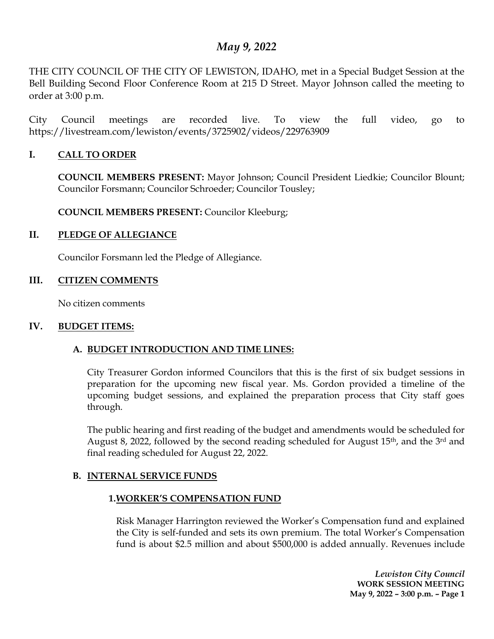# *May 9, 2022*

THE CITY COUNCIL OF THE CITY OF LEWISTON, IDAHO, met in a Special Budget Session at the Bell Building Second Floor Conference Room at 215 D Street. Mayor Johnson called the meeting to order at 3:00 p.m.

City Council meetings are recorded live. To view the full video, go to https://livestream.com/lewiston/events/3725902/videos/229763909

# **I. CALL TO ORDER**

**COUNCIL MEMBERS PRESENT:** Mayor Johnson; Council President Liedkie; Councilor Blount; Councilor Forsmann; Councilor Schroeder; Councilor Tousley;

**COUNCIL MEMBERS PRESENT:** Councilor Kleeburg;

### **II. PLEDGE OF ALLEGIANCE**

Councilor Forsmann led the Pledge of Allegiance.

#### **III. CITIZEN COMMENTS**

No citizen comments

#### **IV. BUDGET ITEMS:**

### **A. BUDGET INTRODUCTION AND TIME LINES:**

City Treasurer Gordon informed Councilors that this is the first of six budget sessions in preparation for the upcoming new fiscal year. Ms. Gordon provided a timeline of the upcoming budget sessions, and explained the preparation process that City staff goes through.

The public hearing and first reading of the budget and amendments would be scheduled for August 8, 2022, followed by the second reading scheduled for August 15<sup>th</sup>, and the 3<sup>rd</sup> and final reading scheduled for August 22, 2022.

### **B. INTERNAL SERVICE FUNDS**

### **1.WORKER'S COMPENSATION FUND**

Risk Manager Harrington reviewed the Worker's Compensation fund and explained the City is self-funded and sets its own premium. The total Worker's Compensation fund is about \$2.5 million and about \$500,000 is added annually. Revenues include

> *Lewiston City Council* **WORK SESSION MEETING May 9, 2022 – 3:00 p.m. – Page 1**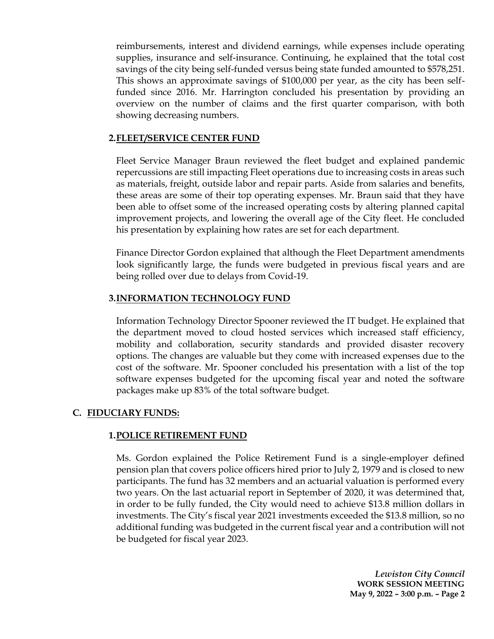reimbursements, interest and dividend earnings, while expenses include operating supplies, insurance and self-insurance. Continuing, he explained that the total cost savings of the city being self-funded versus being state funded amounted to \$578,251. This shows an approximate savings of \$100,000 per year, as the city has been selffunded since 2016. Mr. Harrington concluded his presentation by providing an overview on the number of claims and the first quarter comparison, with both showing decreasing numbers.

#### **2.FLEET/SERVICE CENTER FUND**

Fleet Service Manager Braun reviewed the fleet budget and explained pandemic repercussions are still impacting Fleet operations due to increasing costs in areas such as materials, freight, outside labor and repair parts. Aside from salaries and benefits, these areas are some of their top operating expenses. Mr. Braun said that they have been able to offset some of the increased operating costs by altering planned capital improvement projects, and lowering the overall age of the City fleet. He concluded his presentation by explaining how rates are set for each department.

Finance Director Gordon explained that although the Fleet Department amendments look significantly large, the funds were budgeted in previous fiscal years and are being rolled over due to delays from Covid-19.

#### **3.INFORMATION TECHNOLOGY FUND**

Information Technology Director Spooner reviewed the IT budget. He explained that the department moved to cloud hosted services which increased staff efficiency, mobility and collaboration, security standards and provided disaster recovery options. The changes are valuable but they come with increased expenses due to the cost of the software. Mr. Spooner concluded his presentation with a list of the top software expenses budgeted for the upcoming fiscal year and noted the software packages make up 83% of the total software budget.

#### **C. FIDUCIARY FUNDS:**

#### **1.POLICE RETIREMENT FUND**

Ms. Gordon explained the Police Retirement Fund is a single-employer defined pension plan that covers police officers hired prior to July 2, 1979 and is closed to new participants. The fund has 32 members and an actuarial valuation is performed every two years. On the last actuarial report in September of 2020, it was determined that, in order to be fully funded, the City would need to achieve \$13.8 million dollars in investments. The City's fiscal year 2021 investments exceeded the \$13.8 million, so no additional funding was budgeted in the current fiscal year and a contribution will not be budgeted for fiscal year 2023.

> *Lewiston City Council* **WORK SESSION MEETING May 9, 2022 – 3:00 p.m. – Page 2**